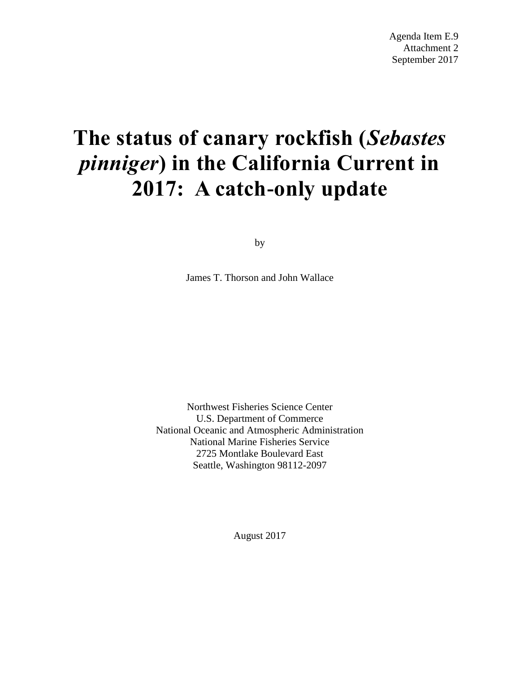# **The status of canary rockfish (***Sebastes pinniger***) in the California Current in 2017: A catch-only update**

by

James T. Thorson and John Wallace

Northwest Fisheries Science Center U.S. Department of Commerce National Oceanic and Atmospheric Administration National Marine Fisheries Service 2725 Montlake Boulevard East Seattle, Washington 98112-2097

August 2017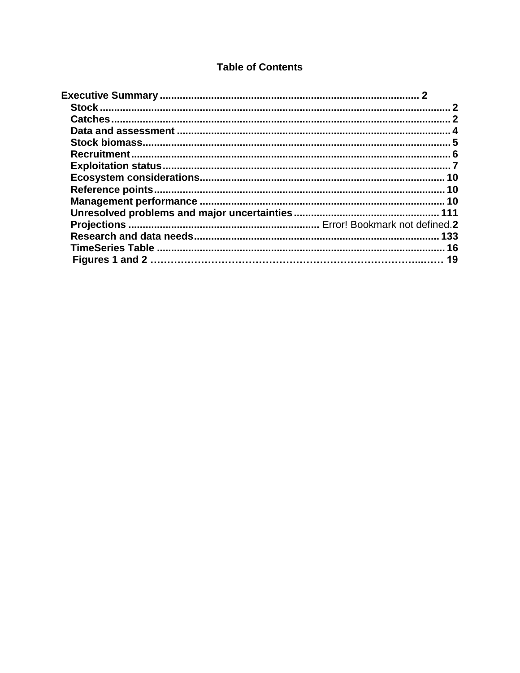# **Table of Contents**

<span id="page-1-0"></span>

| .133 |
|------|
|      |
|      |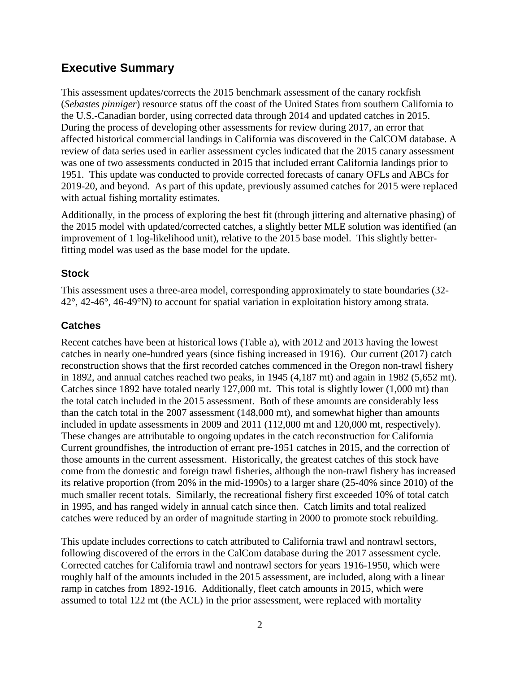# **Executive Summary**

<span id="page-2-0"></span>This assessment updates/corrects the 2015 benchmark assessment of the canary rockfish (*Sebastes pinniger*) resource status off the coast of the United States from southern California to the U.S.-Canadian border, using corrected data through 2014 and updated catches in 2015. During the process of developing other assessments for review during 2017, an error that affected historical commercial landings in California was discovered in the CalCOM database. A review of data series used in earlier assessment cycles indicated that the 2015 canary assessment was one of two assessments conducted in 2015 that included errant California landings prior to 1951. This update was conducted to provide corrected forecasts of canary OFLs and ABCs for 2019-20, and beyond. As part of this update, previously assumed catches for 2015 were replaced with actual fishing mortality estimates.

Additionally, in the process of exploring the best fit (through jittering and alternative phasing) of the 2015 model with updated/corrected catches, a slightly better MLE solution was identified (an improvement of 1 log-likelihood unit), relative to the 2015 base model. This slightly betterfitting model was used as the base model for the update.

# **Stock**

This assessment uses a three-area model, corresponding approximately to state boundaries (32- 42°, 42-46°, 46-49°N) to account for spatial variation in exploitation history among strata.

# <span id="page-2-1"></span>**Catches**

Recent catches have been at historical lows (Table a), with 2012 and 2013 having the lowest catches in nearly one-hundred years (since fishing increased in 1916). Our current (2017) catch reconstruction shows that the first recorded catches commenced in the Oregon non-trawl fishery in 1892, and annual catches reached two peaks, in 1945 (4,187 mt) and again in 1982 (5,652 mt). Catches since 1892 have totaled nearly 127,000 mt. This total is slightly lower (1,000 mt) than the total catch included in the 2015 assessment. Both of these amounts are considerably less than the catch total in the 2007 assessment (148,000 mt), and somewhat higher than amounts included in update assessments in 2009 and 2011 (112,000 mt and 120,000 mt, respectively). These changes are attributable to ongoing updates in the catch reconstruction for California Current groundfishes, the introduction of errant pre-1951 catches in 2015, and the correction of those amounts in the current assessment. Historically, the greatest catches of this stock have come from the domestic and foreign trawl fisheries, although the non-trawl fishery has increased its relative proportion (from 20% in the mid-1990s) to a larger share (25-40% since 2010) of the much smaller recent totals. Similarly, the recreational fishery first exceeded 10% of total catch in 1995, and has ranged widely in annual catch since then. Catch limits and total realized catches were reduced by an order of magnitude starting in 2000 to promote stock rebuilding.

This update includes corrections to catch attributed to California trawl and nontrawl sectors, following discovered of the errors in the CalCom database during the 2017 assessment cycle. Corrected catches for California trawl and nontrawl sectors for years 1916-1950, which were roughly half of the amounts included in the 2015 assessment, are included, along with a linear ramp in catches from 1892-1916. Additionally, fleet catch amounts in 2015, which were assumed to total 122 mt (the ACL) in the prior assessment, were replaced with mortality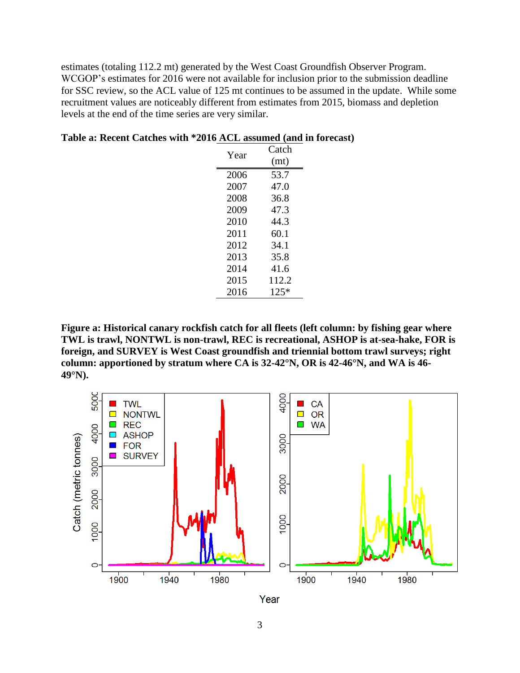estimates (totaling 112.2 mt) generated by the West Coast Groundfish Observer Program. WCGOP's estimates for 2016 were not available for inclusion prior to the submission deadline for SSC review, so the ACL value of 125 mt continues to be assumed in the update. While some recruitment values are noticeably different from estimates from 2015, biomass and depletion levels at the end of the time series are very similar.

| Year | Catch  |
|------|--------|
|      | (mt)   |
| 2006 | 53.7   |
| 2007 | 47.0   |
| 2008 | 36.8   |
| 2009 | 47.3   |
| 2010 | 44.3   |
| 2011 | 60.1   |
| 2012 | 34.1   |
| 2013 | 35.8   |
| 2014 | 41.6   |
| 2015 | 112.2  |
| 2016 | $125*$ |

#### **Table a: Recent Catches with \*2016 ACL assumed (and in forecast)**

**Figure a: Historical canary rockfish catch for all fleets (left column: by fishing gear where TWL is trawl, NONTWL is non-trawl, REC is recreational, ASHOP is at-sea-hake, FOR is foreign, and SURVEY is West Coast groundfish and triennial bottom trawl surveys; right column: apportioned by stratum where CA is 32-42°N, OR is 42-46°N, and WA is 46- 49°N).**



Year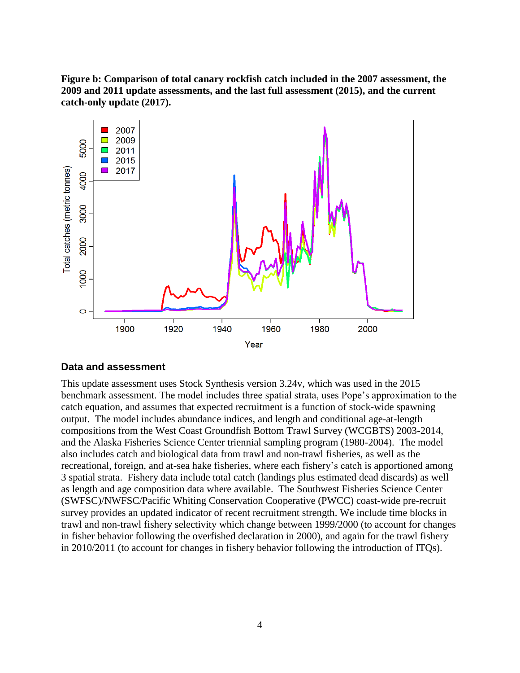**Figure b: Comparison of total canary rockfish catch included in the 2007 assessment, the 2009 and 2011 update assessments, and the last full assessment (2015), and the current catch-only update (2017).**



#### <span id="page-4-0"></span>**Data and assessment**

<span id="page-4-1"></span>This update assessment uses Stock Synthesis version 3.24v, which was used in the 2015 benchmark assessment. The model includes three spatial strata, uses Pope's approximation to the catch equation, and assumes that expected recruitment is a function of stock-wide spawning output. The model includes abundance indices, and length and conditional age-at-length compositions from the West Coast Groundfish Bottom Trawl Survey (WCGBTS) 2003-2014, and the Alaska Fisheries Science Center triennial sampling program (1980-2004). The model also includes catch and biological data from trawl and non-trawl fisheries, as well as the recreational, foreign, and at-sea hake fisheries, where each fishery's catch is apportioned among 3 spatial strata. Fishery data include total catch (landings plus estimated dead discards) as well as length and age composition data where available. The Southwest Fisheries Science Center (SWFSC)/NWFSC/Pacific Whiting Conservation Cooperative (PWCC) coast-wide pre-recruit survey provides an updated indicator of recent recruitment strength. We include time blocks in trawl and non-trawl fishery selectivity which change between 1999/2000 (to account for changes in fisher behavior following the overfished declaration in 2000), and again for the trawl fishery in 2010/2011 (to account for changes in fishery behavior following the introduction of ITQs).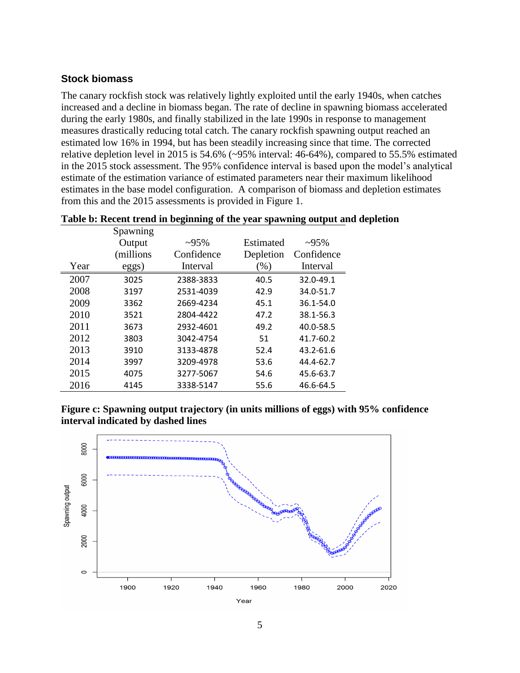#### **Stock biomass**

The canary rockfish stock was relatively lightly exploited until the early 1940s, when catches increased and a decline in biomass began. The rate of decline in spawning biomass accelerated during the early 1980s, and finally stabilized in the late 1990s in response to management measures drastically reducing total catch. The canary rockfish spawning output reached an estimated low 16% in 1994, but has been steadily increasing since that time. The corrected relative depletion level in 2015 is 54.6% (~95% interval: 46-64%), compared to 55.5% estimated in the 2015 stock assessment. The 95% confidence interval is based upon the model's analytical estimate of the estimation variance of estimated parameters near their maximum likelihood estimates in the base model configuration. A comparison of biomass and depletion estimates from this and the 2015 assessments is provided in Figure 1.

|      | Spawning   |             |           |             |
|------|------------|-------------|-----------|-------------|
|      | Output     | $\sim 95\%$ | Estimated | $\sim 95\%$ |
|      | (millions) | Confidence  | Depletion | Confidence  |
| Year | eggs)      | Interval    | $(\%)$    | Interval    |
| 2007 | 3025       | 2388-3833   | 40.5      | 32.0-49.1   |
| 2008 | 3197       | 2531-4039   | 42.9      | 34.0-51.7   |
| 2009 | 3362       | 2669-4234   | 45.1      | 36.1-54.0   |
| 2010 | 3521       | 2804-4422   | 47.2      | 38.1-56.3   |
| 2011 | 3673       | 2932-4601   | 49.2      | 40.0-58.5   |
| 2012 | 3803       | 3042-4754   | 51        | 41.7-60.2   |
| 2013 | 3910       | 3133-4878   | 52.4      | 43.2-61.6   |
| 2014 | 3997       | 3209-4978   | 53.6      | 44.4-62.7   |
| 2015 | 4075       | 3277-5067   | 54.6      | 45.6-63.7   |
| 2016 | 4145       | 3338-5147   | 55.6      | 46.6-64.5   |

**Table b: Recent trend in beginning of the year spawning output and depletion**

**Figure c: Spawning output trajectory (in units millions of eggs) with 95% confidence interval indicated by dashed lines**

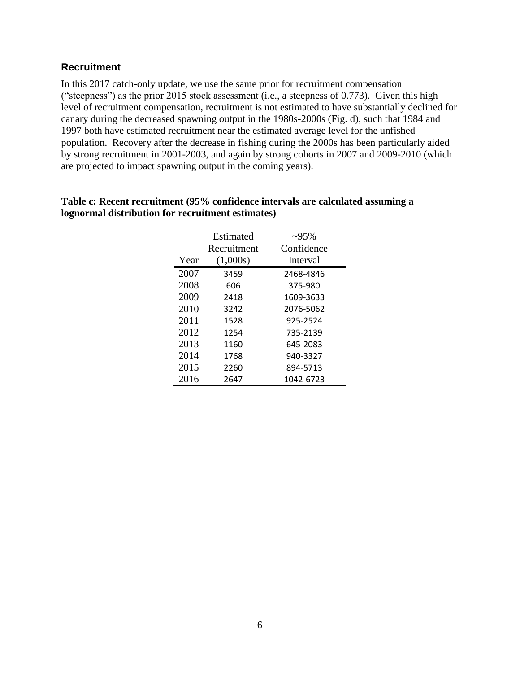### <span id="page-6-0"></span>**Recruitment**

In this 2017 catch-only update, we use the same prior for recruitment compensation ("steepness") as the prior 2015 stock assessment (i.e., a steepness of 0.773). Given this high level of recruitment compensation, recruitment is not estimated to have substantially declined for canary during the decreased spawning output in the 1980s-2000s (Fig. d), such that 1984 and 1997 both have estimated recruitment near the estimated average level for the unfished population. Recovery after the decrease in fishing during the 2000s has been particularly aided by strong recruitment in 2001-2003, and again by strong cohorts in 2007 and 2009-2010 (which are projected to impact spawning output in the coming years).

|      | Estimated<br>Recruitment | $\sim 95\%$<br>Confidence |
|------|--------------------------|---------------------------|
| Year | (1,000s)                 | Interval                  |
| 2007 | 3459                     | 2468-4846                 |
| 2008 | 606                      | 375-980                   |
| 2009 | 2418                     | 1609-3633                 |
| 2010 | 3242                     | 2076-5062                 |
| 2011 | 1528                     | 925-2524                  |
| 2012 | 1254                     | 735-2139                  |
| 2013 | 1160                     | 645-2083                  |
| 2014 | 1768                     | 940-3327                  |
| 2015 | 2260                     | 894-5713                  |
| 2016 | 2647                     | 1042-6723                 |

#### **Table c: Recent recruitment (95% confidence intervals are calculated assuming a lognormal distribution for recruitment estimates)**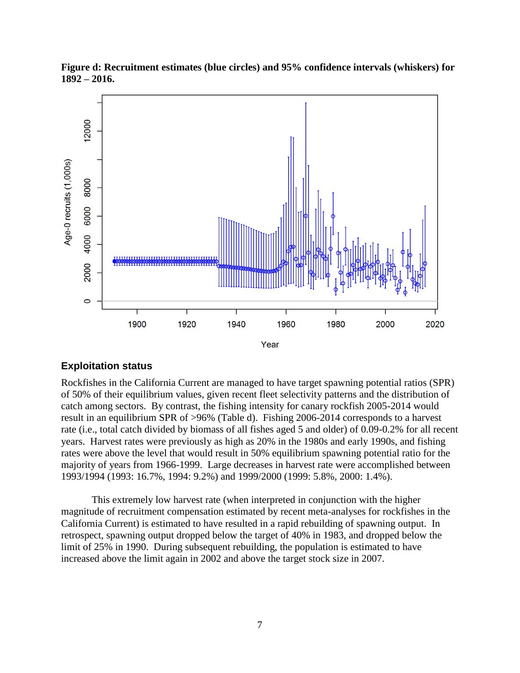

**Figure d: Recruitment estimates (blue circles) and 95% confidence intervals (whiskers) for 1892 – 2016.** 

# <span id="page-7-0"></span>**Exploitation status**

Rockfishes in the California Current are managed to have target spawning potential ratios (SPR) of 50% of their equilibrium values, given recent fleet selectivity patterns and the distribution of catch among sectors. By contrast, the fishing intensity for canary rockfish 2005-2014 would result in an equilibrium SPR of >96% (Table d). Fishing 2006-2014 corresponds to a harvest rate (i.e., total catch divided by biomass of all fishes aged 5 and older) of 0.09-0.2% for all recent years. Harvest rates were previously as high as 20% in the 1980s and early 1990s, and fishing rates were above the level that would result in 50% equilibrium spawning potential ratio for the majority of years from 1966-1999. Large decreases in harvest rate were accomplished between 1993/1994 (1993: 16.7%, 1994: 9.2%) and 1999/2000 (1999: 5.8%, 2000: 1.4%).

This extremely low harvest rate (when interpreted in conjunction with the higher magnitude of recruitment compensation estimated by recent meta-analyses for rockfishes in the California Current) is estimated to have resulted in a rapid rebuilding of spawning output. In retrospect, spawning output dropped below the target of 40% in 1983, and dropped below the limit of 25% in 1990. During subsequent rebuilding, the population is estimated to have increased above the limit again in 2002 and above the target stock size in 2007.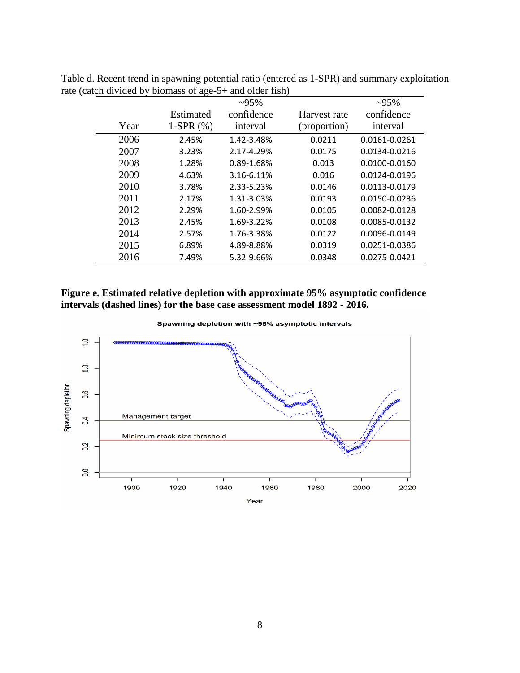|      |              | $-95%$     |              | $~295\%$      |
|------|--------------|------------|--------------|---------------|
|      | Estimated    | confidence | Harvest rate | confidence    |
| Year | 1-SPR $(\%)$ | interval   | (proportion) | interval      |
| 2006 | 2.45%        | 1.42-3.48% | 0.0211       | 0.0161-0.0261 |
| 2007 | 3.23%        | 2.17-4.29% | 0.0175       | 0.0134-0.0216 |
| 2008 | 1.28%        | 0.89-1.68% | 0.013        | 0.0100-0.0160 |
| 2009 | 4.63%        | 3.16-6.11% | 0.016        | 0.0124-0.0196 |
| 2010 | 3.78%        | 2.33-5.23% | 0.0146       | 0.0113-0.0179 |
| 2011 | 2.17%        | 1.31-3.03% | 0.0193       | 0.0150-0.0236 |
| 2012 | 2.29%        | 1.60-2.99% | 0.0105       | 0.0082-0.0128 |
| 2013 | 2.45%        | 1.69-3.22% | 0.0108       | 0.0085-0.0132 |
| 2014 | 2.57%        | 1.76-3.38% | 0.0122       | 0.0096-0.0149 |
| 2015 | 6.89%        | 4.89-8.88% | 0.0319       | 0.0251-0.0386 |
| 2016 | 7.49%        | 5.32-9.66% | 0.0348       | 0.0275-0.0421 |

Table d. Recent trend in spawning potential ratio (entered as 1-SPR) and summary exploitation rate (catch divided by biomass of age-5+ and older fish)

**Figure e. Estimated relative depletion with approximate 95% asymptotic confidence intervals (dashed lines) for the base case assessment model 1892 - 2016.**

Spawning depletion with ~95% asymptotic intervals

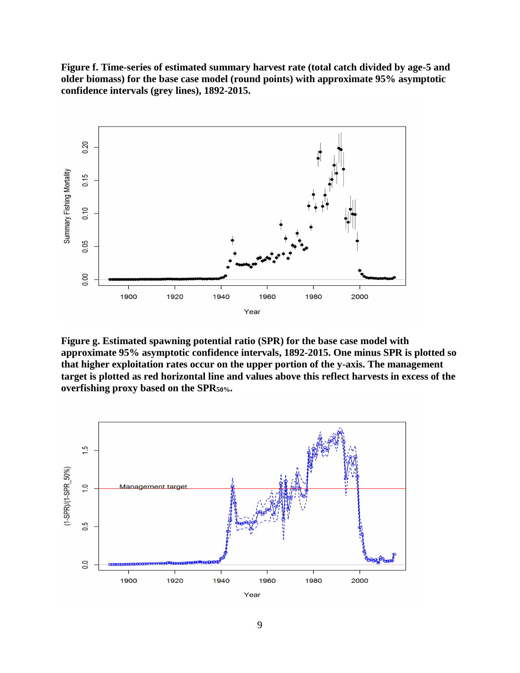**Figure f. Time-series of estimated summary harvest rate (total catch divided by age-5 and older biomass) for the base case model (round points) with approximate 95% asymptotic confidence intervals (grey lines), 1892-2015.** 



**Figure g. Estimated spawning potential ratio (SPR) for the base case model with approximate 95% asymptotic confidence intervals, 1892-2015. One minus SPR is plotted so that higher exploitation rates occur on the upper portion of the y-axis. The management target is plotted as red horizontal line and values above this reflect harvests in excess of the overfishing proxy based on the SPR50%.**



9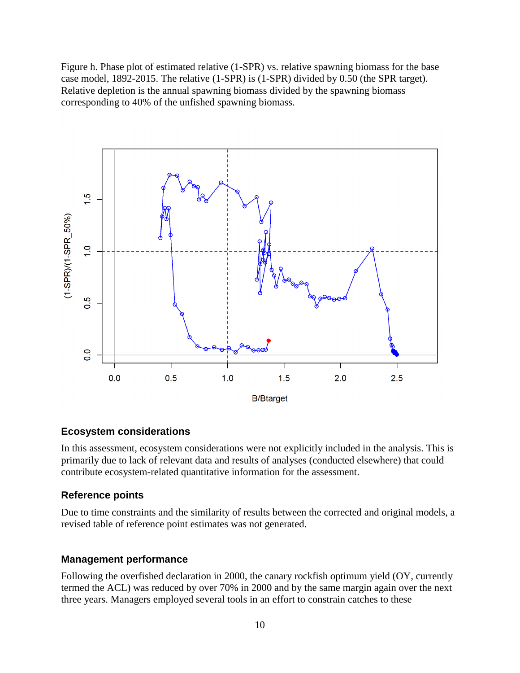Figure h. Phase plot of estimated relative (1-SPR) vs. relative spawning biomass for the base case model, 1892-2015. The relative (1-SPR) is (1-SPR) divided by 0.50 (the SPR target). Relative depletion is the annual spawning biomass divided by the spawning biomass corresponding to 40% of the unfished spawning biomass.



# <span id="page-10-0"></span>**Ecosystem considerations**

In this assessment, ecosystem considerations were not explicitly included in the analysis. This is primarily due to lack of relevant data and results of analyses (conducted elsewhere) that could contribute ecosystem-related quantitative information for the assessment.

#### <span id="page-10-1"></span>**Reference points**

Due to time constraints and the similarity of results between the corrected and original models, a revised table of reference point estimates was not generated.

#### <span id="page-10-2"></span>**Management performance**

Following the overfished declaration in 2000, the canary rockfish optimum yield (OY, currently termed the ACL) was reduced by over 70% in 2000 and by the same margin again over the next three years. Managers employed several tools in an effort to constrain catches to these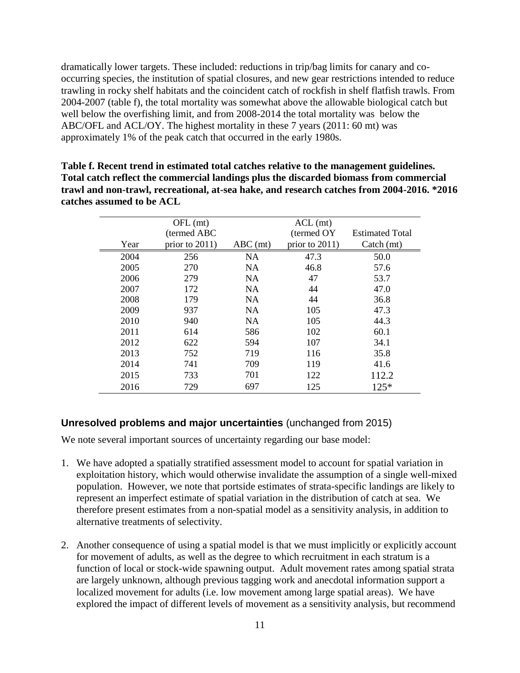dramatically lower targets. These included: reductions in trip/bag limits for canary and cooccurring species, the institution of spatial closures, and new gear restrictions intended to reduce trawling in rocky shelf habitats and the coincident catch of rockfish in shelf flatfish trawls. From 2004-2007 (table f), the total mortality was somewhat above the allowable biological catch but well below the overfishing limit, and from 2008-2014 the total mortality was below the ABC/OFL and ACL/OY. The highest mortality in these 7 years (2011: 60 mt) was approximately 1% of the peak catch that occurred in the early 1980s.

**Table f. Recent trend in estimated total catches relative to the management guidelines. Total catch reflect the commercial landings plus the discarded biomass from commercial trawl and non-trawl, recreational, at-sea hake, and research catches from 2004-2016. \*2016 catches assumed to be ACL**

|      | OFL (mt)          |            | $ACL$ (mt)        |                        |
|------|-------------------|------------|-------------------|------------------------|
|      | (termed ABC)      |            | (termed OY)       | <b>Estimated Total</b> |
| Year | prior to $2011$ ) | $ABC$ (mt) | prior to $2011$ ) | Catch (mt)             |
| 2004 | 256               | <b>NA</b>  | 47.3              | 50.0                   |
| 2005 | 270               | <b>NA</b>  | 46.8              | 57.6                   |
| 2006 | 279               | <b>NA</b>  | 47                | 53.7                   |
| 2007 | 172               | <b>NA</b>  | 44                | 47.0                   |
| 2008 | 179               | <b>NA</b>  | 44                | 36.8                   |
| 2009 | 937               | <b>NA</b>  | 105               | 47.3                   |
| 2010 | 940               | <b>NA</b>  | 105               | 44.3                   |
| 2011 | 614               | 586        | 102               | 60.1                   |
| 2012 | 622               | 594        | 107               | 34.1                   |
| 2013 | 752               | 719        | 116               | 35.8                   |
| 2014 | 741               | 709        | 119               | 41.6                   |
| 2015 | 733               | 701        | 122               | 112.2                  |
| 2016 | 729               | 697        | 125               | $125*$                 |

# <span id="page-11-0"></span>**Unresolved problems and major uncertainties** (unchanged from 2015)

We note several important sources of uncertainty regarding our base model:

- 1. We have adopted a spatially stratified assessment model to account for spatial variation in exploitation history, which would otherwise invalidate the assumption of a single well-mixed population. However, we note that portside estimates of strata-specific landings are likely to represent an imperfect estimate of spatial variation in the distribution of catch at sea. We therefore present estimates from a non-spatial model as a sensitivity analysis, in addition to alternative treatments of selectivity.
- 2. Another consequence of using a spatial model is that we must implicitly or explicitly account for movement of adults, as well as the degree to which recruitment in each stratum is a function of local or stock-wide spawning output. Adult movement rates among spatial strata are largely unknown, although previous tagging work and anecdotal information support a localized movement for adults (i.e. low movement among large spatial areas). We have explored the impact of different levels of movement as a sensitivity analysis, but recommend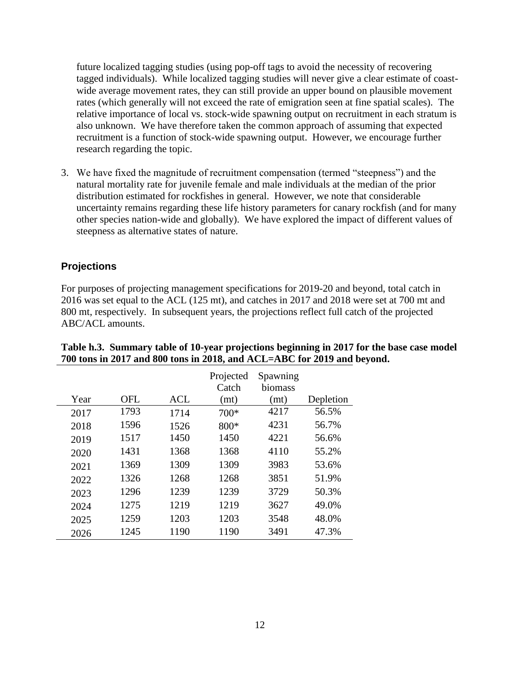future localized tagging studies (using pop-off tags to avoid the necessity of recovering tagged individuals). While localized tagging studies will never give a clear estimate of coastwide average movement rates, they can still provide an upper bound on plausible movement rates (which generally will not exceed the rate of emigration seen at fine spatial scales). The relative importance of local vs. stock-wide spawning output on recruitment in each stratum is also unknown. We have therefore taken the common approach of assuming that expected recruitment is a function of stock-wide spawning output. However, we encourage further research regarding the topic.

3. We have fixed the magnitude of recruitment compensation (termed "steepness") and the natural mortality rate for juvenile female and male individuals at the median of the prior distribution estimated for rockfishes in general. However, we note that considerable uncertainty remains regarding these life history parameters for canary rockfish (and for many other species nation-wide and globally). We have explored the impact of different values of steepness as alternative states of nature.

# **Projections**

For purposes of projecting management specifications for 2019-20 and beyond, total catch in 2016 was set equal to the ACL (125 mt), and catches in 2017 and 2018 were set at 700 mt and 800 mt, respectively. In subsequent years, the projections reflect full catch of the projected ABC/ACL amounts.

|      |            |            | Projected<br>Catch | Spawning<br>biomass |           |
|------|------------|------------|--------------------|---------------------|-----------|
| Year | <b>OFL</b> | <b>ACL</b> | (mt)               | (mt)                | Depletion |
| 2017 | 1793       | 1714       | $700*$             | 4217                | 56.5%     |
| 2018 | 1596       | 1526       | 800*               | 4231                | 56.7%     |
| 2019 | 1517       | 1450       | 1450               | 4221                | 56.6%     |
| 2020 | 1431       | 1368       | 1368               | 4110                | 55.2%     |
| 2021 | 1369       | 1309       | 1309               | 3983                | 53.6%     |
| 2022 | 1326       | 1268       | 1268               | 3851                | 51.9%     |
| 2023 | 1296       | 1239       | 1239               | 3729                | 50.3%     |
| 2024 | 1275       | 1219       | 1219               | 3627                | 49.0%     |
| 2025 | 1259       | 1203       | 1203               | 3548                | 48.0%     |
| 2026 | 1245       | 1190       | 1190               | 3491                | 47.3%     |

#### **Table h.3. Summary table of 10-year projections beginning in 2017 for the base case model 700 tons in 2017 and 800 tons in 2018, and ACL=ABC for 2019 and beyond.**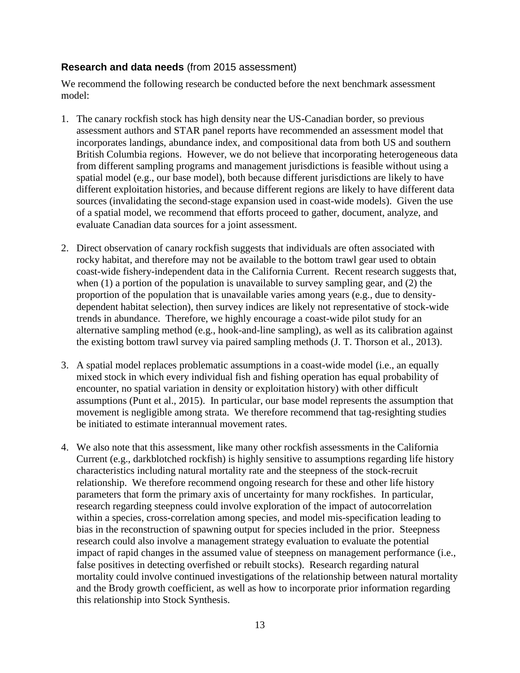# <span id="page-13-0"></span>**Research and data needs** (from 2015 assessment)

We recommend the following research be conducted before the next benchmark assessment model:

- 1. The canary rockfish stock has high density near the US-Canadian border, so previous assessment authors and STAR panel reports have recommended an assessment model that incorporates landings, abundance index, and compositional data from both US and southern British Columbia regions. However, we do not believe that incorporating heterogeneous data from different sampling programs and management jurisdictions is feasible without using a spatial model (e.g., our base model), both because different jurisdictions are likely to have different exploitation histories, and because different regions are likely to have different data sources (invalidating the second-stage expansion used in coast-wide models). Given the use of a spatial model, we recommend that efforts proceed to gather, document, analyze, and evaluate Canadian data sources for a joint assessment.
- 2. Direct observation of canary rockfish suggests that individuals are often associated with rocky habitat, and therefore may not be available to the bottom trawl gear used to obtain coast-wide fishery-independent data in the California Current. Recent research suggests that, when (1) a portion of the population is unavailable to survey sampling gear, and (2) the proportion of the population that is unavailable varies among years (e.g., due to densitydependent habitat selection), then survey indices are likely not representative of stock-wide trends in abundance. Therefore, we highly encourage a coast-wide pilot study for an alternative sampling method (e.g., hook-and-line sampling), as well as its calibration against the existing bottom trawl survey via paired sampling methods (J. T. Thorson et al., 2013).
- 3. A spatial model replaces problematic assumptions in a coast-wide model (i.e., an equally mixed stock in which every individual fish and fishing operation has equal probability of encounter, no spatial variation in density or exploitation history) with other difficult assumptions (Punt et al., 2015). In particular, our base model represents the assumption that movement is negligible among strata. We therefore recommend that tag-resighting studies be initiated to estimate interannual movement rates.
- 4. We also note that this assessment, like many other rockfish assessments in the California Current (e.g., darkblotched rockfish) is highly sensitive to assumptions regarding life history characteristics including natural mortality rate and the steepness of the stock-recruit relationship. We therefore recommend ongoing research for these and other life history parameters that form the primary axis of uncertainty for many rockfishes. In particular, research regarding steepness could involve exploration of the impact of autocorrelation within a species, cross-correlation among species, and model mis-specification leading to bias in the reconstruction of spawning output for species included in the prior. Steepness research could also involve a management strategy evaluation to evaluate the potential impact of rapid changes in the assumed value of steepness on management performance (i.e., false positives in detecting overfished or rebuilt stocks). Research regarding natural mortality could involve continued investigations of the relationship between natural mortality and the Brody growth coefficient, as well as how to incorporate prior information regarding this relationship into Stock Synthesis.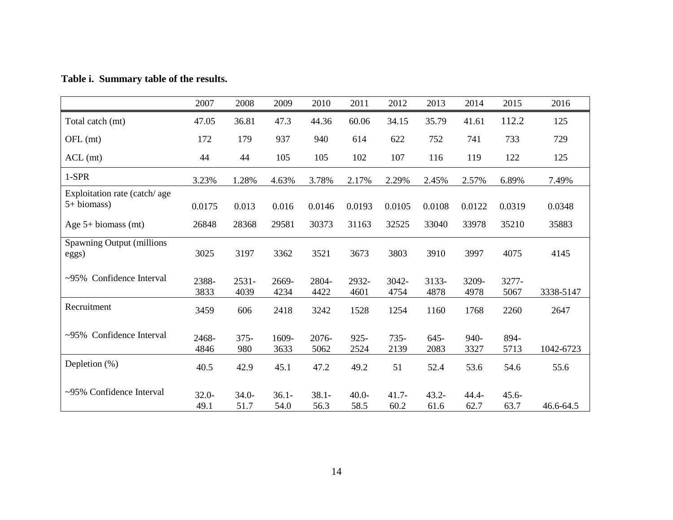|                                               | 2007             | 2008             | 2009             | 2010             | 2011             | 2012            | 2013             | 2014             | 2015             | 2016      |
|-----------------------------------------------|------------------|------------------|------------------|------------------|------------------|-----------------|------------------|------------------|------------------|-----------|
| Total catch (mt)                              | 47.05            | 36.81            | 47.3             | 44.36            | 60.06            | 34.15           | 35.79            | 41.61            | 112.2            | 125       |
| OFL (mt)                                      | 172              | 179              | 937              | 940              | 614              | 622             | 752              | 741              | 733              | 729       |
| $ACL$ (mt)                                    | 44               | 44               | 105              | 105              | 102              | 107             | 116              | 119              | 122              | 125       |
| $1-SPR$                                       | 3.23%            | 1.28%            | 4.63%            | 3.78%            | 2.17%            | 2.29%           | 2.45%            | 2.57%            | 6.89%            | 7.49%     |
| Exploitation rate (catch/age)<br>$5+biomass)$ | 0.0175           | 0.013            | 0.016            | 0.0146           | 0.0193           | 0.0105          | 0.0108           | 0.0122           | 0.0319           | 0.0348    |
| Age $5+$ biomass (mt)                         | 26848            | 28368            | 29581            | 30373            | 31163            | 32525           | 33040            | 33978            | 35210            | 35883     |
| Spawning Output (millions)<br>eggs)           | 3025             | 3197             | 3362             | 3521             | 3673             | 3803            | 3910             | 3997             | 4075             | 4145      |
| ~95% Confidence Interval                      | 2388-<br>3833    | $2531 -$<br>4039 | 2669-<br>4234    | 2804-<br>4422    | 2932-<br>4601    | 3042-<br>4754   | 3133-<br>4878    | 3209-<br>4978    | 3277-<br>5067    | 3338-5147 |
| Recruitment                                   | 3459             | 606              | 2418             | 3242             | 1528             | 1254            | 1160             | 1768             | 2260             | 2647      |
| ~95% Confidence Interval                      | 2468-<br>4846    | $375 -$<br>980   | 1609-<br>3633    | $2076-$<br>5062  | $925 -$<br>2524  | $735 -$<br>2139 | $645 -$<br>2083  | $940-$<br>3327   | 894-<br>5713     | 1042-6723 |
| Depletion $(\%)$                              | 40.5             | 42.9             | 45.1             | 47.2             | 49.2             | 51              | 52.4             | 53.6             | 54.6             | 55.6      |
| $\sim$ 95% Confidence Interval                | $32.0 -$<br>49.1 | $34.0 -$<br>51.7 | $36.1 -$<br>54.0 | $38.1 -$<br>56.3 | $40.0 -$<br>58.5 | $41.7-$<br>60.2 | $43.2 -$<br>61.6 | $44.4 -$<br>62.7 | $45.6 -$<br>63.7 | 46.6-64.5 |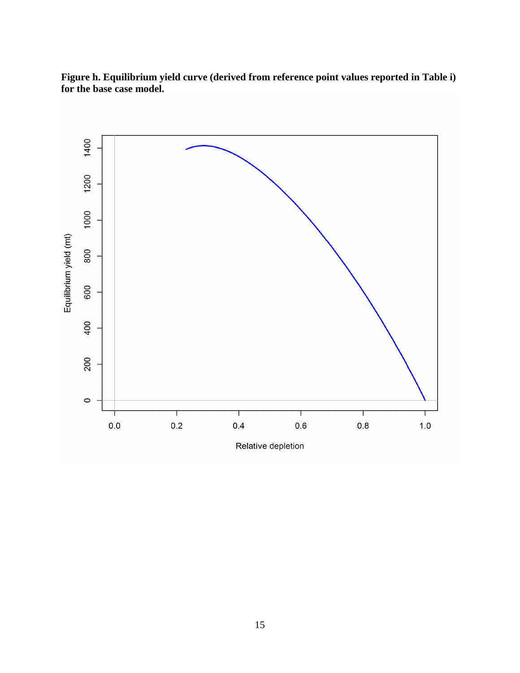**Figure h. Equilibrium yield curve (derived from reference point values reported in Table i) for the base case model.** 

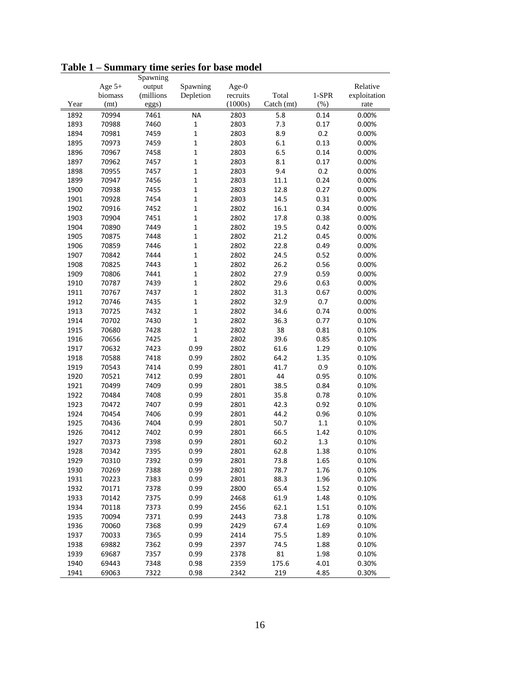|      |          | Spawning  |              |          |            |         |              |
|------|----------|-----------|--------------|----------|------------|---------|--------------|
|      | Age $5+$ | output    | Spawning     | Age- $0$ |            |         | Relative     |
|      | biomass  | (millions | Depletion    | recruits | Total      | $1-SPR$ | exploitation |
| Year | (mt)     | eggs)     |              | (1000s)  | Catch (mt) | (% )    | rate         |
| 1892 | 70994    | 7461      | <b>NA</b>    | 2803     | 5.8        | 0.14    | 0.00%        |
| 1893 | 70988    | 7460      | $\mathbf 1$  | 2803     | 7.3        | 0.17    | 0.00%        |
| 1894 | 70981    | 7459      | $\mathbf{1}$ | 2803     | 8.9        | 0.2     | 0.00%        |
| 1895 | 70973    | 7459      | $\mathbf 1$  | 2803     | 6.1        | 0.13    | 0.00%        |
| 1896 | 70967    | 7458      | $\mathbf 1$  | 2803     | 6.5        | 0.14    | 0.00%        |
| 1897 | 70962    | 7457      | $\mathbf 1$  | 2803     | 8.1        | 0.17    | 0.00%        |
| 1898 | 70955    | 7457      | $\mathbf 1$  | 2803     | 9.4        | 0.2     | 0.00%        |
| 1899 | 70947    | 7456      | $\mathbf 1$  | 2803     | 11.1       | 0.24    | 0.00%        |
| 1900 | 70938    | 7455      | $\mathbf 1$  | 2803     | 12.8       | 0.27    | 0.00%        |
| 1901 | 70928    | 7454      | $\mathbf 1$  | 2803     | 14.5       | 0.31    | 0.00%        |
| 1902 | 70916    | 7452      | $\mathbf 1$  | 2802     | 16.1       | 0.34    | 0.00%        |
| 1903 | 70904    | 7451      | $\mathbf 1$  | 2802     | 17.8       | 0.38    | 0.00%        |
| 1904 | 70890    | 7449      | $\mathbf 1$  | 2802     | 19.5       | 0.42    | 0.00%        |
| 1905 | 70875    | 7448      | $\mathbf 1$  | 2802     | 21.2       | 0.45    | 0.00%        |
| 1906 | 70859    | 7446      | $\mathbf 1$  | 2802     | 22.8       | 0.49    | 0.00%        |
| 1907 | 70842    | 7444      | $\mathbf 1$  | 2802     | 24.5       | 0.52    | 0.00%        |
| 1908 | 70825    | 7443      | $\mathbf 1$  | 2802     | 26.2       | 0.56    | 0.00%        |
| 1909 | 70806    | 7441      | $\mathbf 1$  | 2802     | 27.9       | 0.59    | 0.00%        |
| 1910 | 70787    | 7439      | $\mathbf 1$  | 2802     | 29.6       | 0.63    | 0.00%        |
| 1911 | 70767    | 7437      | $\mathbf 1$  | 2802     | 31.3       | 0.67    | 0.00%        |
| 1912 | 70746    | 7435      | $\mathbf 1$  | 2802     | 32.9       | 0.7     | 0.00%        |
| 1913 | 70725    | 7432      | $\mathbf 1$  | 2802     | 34.6       | 0.74    | 0.00%        |
| 1914 | 70702    | 7430      | $\mathbf 1$  | 2802     | 36.3       | 0.77    | 0.10%        |
| 1915 | 70680    | 7428      | $\mathbf 1$  | 2802     | 38         | 0.81    | 0.10%        |
| 1916 | 70656    | 7425      | $\mathbf 1$  | 2802     | 39.6       | 0.85    | 0.10%        |
| 1917 | 70632    | 7423      | 0.99         | 2802     | 61.6       | 1.29    | 0.10%        |
| 1918 | 70588    | 7418      | 0.99         | 2802     | 64.2       | 1.35    | 0.10%        |
| 1919 | 70543    | 7414      | 0.99         | 2801     | 41.7       | 0.9     | 0.10%        |
| 1920 | 70521    | 7412      | 0.99         | 2801     | 44         | 0.95    | 0.10%        |
| 1921 | 70499    | 7409      | 0.99         | 2801     | 38.5       | 0.84    | 0.10%        |
| 1922 | 70484    | 7408      | 0.99         | 2801     | 35.8       | 0.78    | 0.10%        |
| 1923 | 70472    | 7407      | 0.99         | 2801     | 42.3       | 0.92    | 0.10%        |
| 1924 | 70454    | 7406      | 0.99         | 2801     | 44.2       | 0.96    | 0.10%        |
| 1925 | 70436    | 7404      | 0.99         | 2801     | 50.7       | $1.1\,$ | 0.10%        |
| 1926 | 70412    | 7402      | 0.99         | 2801     | 66.5       | 1.42    | 0.10%        |
| 1927 | 70373    | 7398      | 0.99         | 2801     | 60.2       | 1.3     | 0.10%        |
| 1928 | 70342    | 7395      | 0.99         | 2801     | 62.8       | 1.38    | 0.10%        |
| 1929 | 70310    | 7392      | 0.99         | 2801     | 73.8       | 1.65    | 0.10%        |
| 1930 | 70269    | 7388      | 0.99         | 2801     | 78.7       | 1.76    | 0.10%        |
| 1931 | 70223    | 7383      | 0.99         | 2801     | 88.3       | 1.96    | 0.10%        |
| 1932 | 70171    | 7378      | 0.99         | 2800     | 65.4       | 1.52    | 0.10%        |
| 1933 | 70142    | 7375      | 0.99         | 2468     | 61.9       | 1.48    | 0.10%        |
| 1934 | 70118    | 7373      | 0.99         | 2456     | 62.1       | 1.51    | 0.10%        |
| 1935 | 70094    | 7371      | 0.99         | 2443     | 73.8       | 1.78    | 0.10%        |
| 1936 | 70060    | 7368      | 0.99         | 2429     | 67.4       | 1.69    | 0.10%        |
| 1937 | 70033    | 7365      | 0.99         | 2414     | 75.5       | 1.89    | 0.10%        |
| 1938 | 69882    | 7362      | 0.99         | 2397     | 74.5       | 1.88    | 0.10%        |
| 1939 | 69687    | 7357      | 0.99         | 2378     | 81         | 1.98    | 0.10%        |
| 1940 | 69443    | 7348      | 0.98         | 2359     | 175.6      | 4.01    | 0.30%        |
| 1941 | 69063    | 7322      | 0.98         | 2342     | 219        | 4.85    | 0.30%        |

**Table 1 – Summary time series for base model**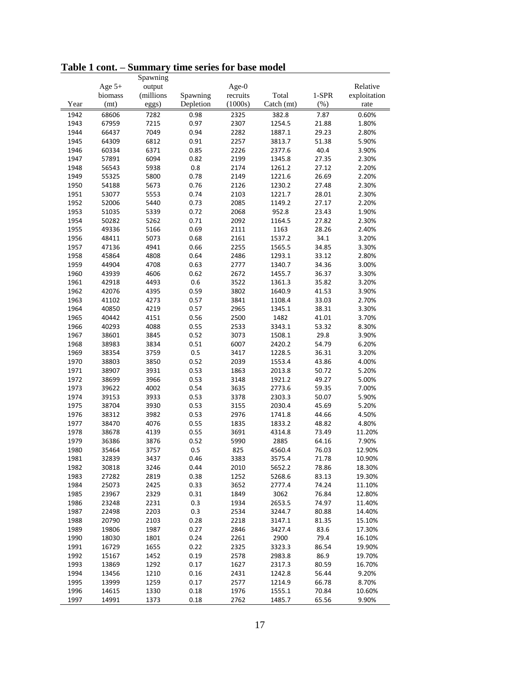|      |          | Spawning  |           |          |            |       |              |
|------|----------|-----------|-----------|----------|------------|-------|--------------|
|      | Age $5+$ | output    |           | Age- $0$ |            |       | Relative     |
|      | biomass  | (millions | Spawning  | recruits | Total      | 1-SPR | exploitation |
| Year | (mt)     | eggs)     | Depletion | (1000s)  | Catch (mt) | (%)   | rate         |
| 1942 | 68606    | 7282      | 0.98      | 2325     | 382.8      | 7.87  | 0.60%        |
| 1943 | 67959    | 7215      | 0.97      | 2307     | 1254.5     | 21.88 | 1.80%        |
| 1944 | 66437    | 7049      | 0.94      | 2282     | 1887.1     | 29.23 | 2.80%        |
| 1945 | 64309    | 6812      | 0.91      | 2257     | 3813.7     | 51.38 | 5.90%        |
| 1946 | 60334    | 6371      | 0.85      | 2226     | 2377.6     | 40.4  | 3.90%        |
| 1947 | 57891    | 6094      | 0.82      | 2199     | 1345.8     | 27.35 | 2.30%        |
| 1948 | 56543    | 5938      | 0.8       | 2174     | 1261.2     | 27.12 | 2.20%        |
| 1949 | 55325    | 5800      | 0.78      | 2149     | 1221.6     | 26.69 | 2.20%        |
| 1950 | 54188    | 5673      | 0.76      | 2126     | 1230.2     | 27.48 | 2.30%        |
| 1951 | 53077    | 5553      | 0.74      | 2103     | 1221.7     | 28.01 | 2.30%        |
| 1952 | 52006    | 5440      | 0.73      | 2085     | 1149.2     | 27.17 | 2.20%        |
| 1953 | 51035    | 5339      | 0.72      | 2068     | 952.8      | 23.43 | 1.90%        |
| 1954 | 50282    | 5262      | 0.71      | 2092     | 1164.5     | 27.82 | 2.30%        |
| 1955 | 49336    | 5166      | 0.69      | 2111     | 1163       | 28.26 | 2.40%        |
| 1956 | 48411    | 5073      | 0.68      | 2161     | 1537.2     | 34.1  | 3.20%        |
| 1957 | 47136    | 4941      | 0.66      | 2255     | 1565.5     | 34.85 | 3.30%        |
| 1958 | 45864    | 4808      | 0.64      | 2486     | 1293.1     | 33.12 | 2.80%        |
| 1959 | 44904    | 4708      | 0.63      | 2777     | 1340.7     | 34.36 | 3.00%        |
| 1960 | 43939    | 4606      | 0.62      | 2672     | 1455.7     | 36.37 | 3.30%        |
| 1961 | 42918    | 4493      | 0.6       | 3522     | 1361.3     | 35.82 | 3.20%        |
| 1962 | 42076    | 4395      | 0.59      | 3802     | 1640.9     | 41.53 | 3.90%        |
| 1963 | 41102    | 4273      | 0.57      | 3841     | 1108.4     | 33.03 | 2.70%        |
| 1964 | 40850    | 4219      | 0.57      | 2965     | 1345.1     | 38.31 | 3.30%        |
| 1965 | 40442    | 4151      | 0.56      | 2500     | 1482       | 41.01 | 3.70%        |
| 1966 | 40293    | 4088      | 0.55      | 2533     | 3343.1     | 53.32 | 8.30%        |
| 1967 | 38601    | 3845      | 0.52      | 3073     | 1508.1     | 29.8  | 3.90%        |
| 1968 | 38983    | 3834      | 0.51      | 6007     | 2420.2     | 54.79 | 6.20%        |
| 1969 | 38354    | 3759      | 0.5       | 3417     | 1228.5     | 36.31 | 3.20%        |
| 1970 | 38803    | 3850      | 0.52      | 2039     | 1553.4     | 43.86 | 4.00%        |
| 1971 | 38907    | 3931      | 0.53      | 1863     | 2013.8     | 50.72 | 5.20%        |
| 1972 | 38699    | 3966      | 0.53      | 3148     | 1921.2     | 49.27 | 5.00%        |
| 1973 | 39622    | 4002      | 0.54      | 3635     | 2773.6     | 59.35 | 7.00%        |
| 1974 | 39153    | 3933      | 0.53      | 3378     | 2303.3     | 50.07 | 5.90%        |
| 1975 | 38704    | 3930      | 0.53      | 3155     | 2030.4     | 45.69 | 5.20%        |
| 1976 | 38312    | 3982      | 0.53      | 2976     | 1741.8     | 44.66 | 4.50%        |
| 1977 | 38470    | 4076      | 0.55      | 1835     | 1833.2     | 48.82 | 4.80%        |
| 1978 | 38678    | 4139      | 0.55      | 3691     | 4314.8     | 73.49 | 11.20%       |
| 1979 | 36386    | 3876      | 0.52      | 5990     | 2885       | 64.16 | 7.90%        |
| 1980 | 35464    | 3757      | 0.5       | 825      | 4560.4     | 76.03 | 12.90%       |
| 1981 | 32839    | 3437      | 0.46      | 3383     | 3575.4     | 71.78 | 10.90%       |
| 1982 | 30818    | 3246      | 0.44      | 2010     | 5652.2     | 78.86 | 18.30%       |
| 1983 | 27282    | 2819      | 0.38      | 1252     | 5268.6     | 83.13 | 19.30%       |
| 1984 | 25073    | 2425      | 0.33      | 3652     | 2777.4     | 74.24 | 11.10%       |
| 1985 | 23967    | 2329      | 0.31      | 1849     | 3062       | 76.84 | 12.80%       |
| 1986 | 23248    | 2231      | 0.3       | 1934     | 2653.5     | 74.97 | 11.40%       |
| 1987 | 22498    | 2203      | 0.3       | 2534     | 3244.7     | 80.88 | 14.40%       |
| 1988 | 20790    | 2103      | 0.28      | 2218     | 3147.1     | 81.35 | 15.10%       |
| 1989 | 19806    | 1987      | 0.27      | 2846     | 3427.4     | 83.6  | 17.30%       |
| 1990 | 18030    | 1801      | 0.24      | 2261     | 2900       | 79.4  | 16.10%       |
| 1991 | 16729    | 1655      | 0.22      | 2325     | 3323.3     | 86.54 | 19.90%       |
| 1992 | 15167    | 1452      | 0.19      | 2578     | 2983.8     | 86.9  | 19.70%       |
| 1993 | 13869    | 1292      | 0.17      | 1627     | 2317.3     | 80.59 | 16.70%       |
| 1994 | 13456    | 1210      | 0.16      | 2431     | 1242.8     | 56.44 | 9.20%        |
| 1995 | 13999    | 1259      | 0.17      | 2577     | 1214.9     | 66.78 | 8.70%        |
| 1996 | 14615    | 1330      | 0.18      | 1976     | 1555.1     | 70.84 | 10.60%       |
| 1997 | 14991    | 1373      | 0.18      | 2762     | 1485.7     | 65.56 | 9.90%        |
|      |          |           |           |          |            |       |              |

**Table 1 cont. – Summary time series for base model**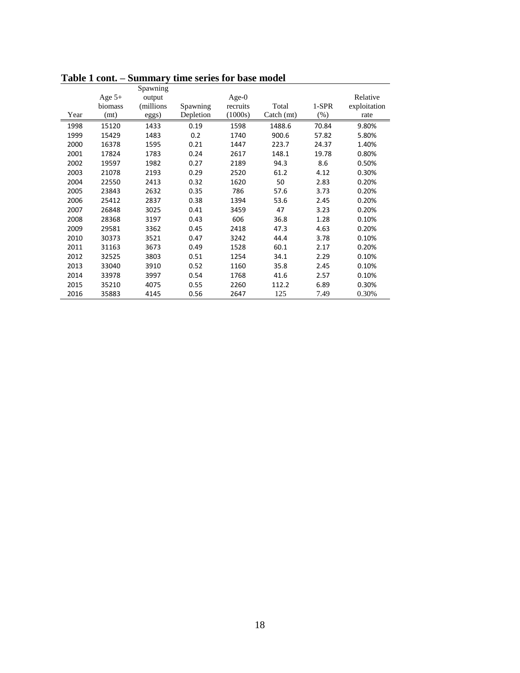|      |          | Spawning   |           |          |            |        |              |
|------|----------|------------|-----------|----------|------------|--------|--------------|
|      | Age $5+$ | output     |           | Age- $0$ |            |        | Relative     |
|      | biomass  | (millions) | Spawning  | recruits | Total      | 1-SPR  | exploitation |
| Year | (mt)     | eggs)      | Depletion | (1000s)  | Catch (mt) | $(\%)$ | rate         |
| 1998 | 15120    | 1433       | 0.19      | 1598     | 1488.6     | 70.84  | 9.80%        |
| 1999 | 15429    | 1483       | 0.2       | 1740     | 900.6      | 57.82  | 5.80%        |
| 2000 | 16378    | 1595       | 0.21      | 1447     | 223.7      | 24.37  | 1.40%        |
| 2001 | 17824    | 1783       | 0.24      | 2617     | 148.1      | 19.78  | 0.80%        |
| 2002 | 19597    | 1982       | 0.27      | 2189     | 94.3       | 8.6    | 0.50%        |
| 2003 | 21078    | 2193       | 0.29      | 2520     | 61.2       | 4.12   | 0.30%        |
| 2004 | 22550    | 2413       | 0.32      | 1620     | 50         | 2.83   | 0.20%        |
| 2005 | 23843    | 2632       | 0.35      | 786      | 57.6       | 3.73   | 0.20%        |
| 2006 | 25412    | 2837       | 0.38      | 1394     | 53.6       | 2.45   | 0.20%        |
| 2007 | 26848    | 3025       | 0.41      | 3459     | 47         | 3.23   | 0.20%        |
| 2008 | 28368    | 3197       | 0.43      | 606      | 36.8       | 1.28   | 0.10%        |
| 2009 | 29581    | 3362       | 0.45      | 2418     | 47.3       | 4.63   | 0.20%        |
| 2010 | 30373    | 3521       | 0.47      | 3242     | 44.4       | 3.78   | 0.10%        |
| 2011 | 31163    | 3673       | 0.49      | 1528     | 60.1       | 2.17   | 0.20%        |
| 2012 | 32525    | 3803       | 0.51      | 1254     | 34.1       | 2.29   | 0.10%        |
| 2013 | 33040    | 3910       | 0.52      | 1160     | 35.8       | 2.45   | 0.10%        |
| 2014 | 33978    | 3997       | 0.54      | 1768     | 41.6       | 2.57   | 0.10%        |
| 2015 | 35210    | 4075       | 0.55      | 2260     | 112.2      | 6.89   | 0.30%        |
| 2016 | 35883    | 4145       | 0.56      | 2647     | 125        | 7.49   | 0.30%        |

**Table 1 cont. – Summary time series for base model**